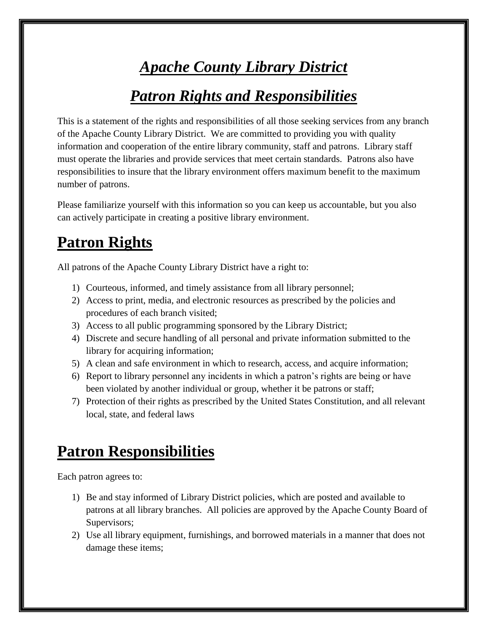## *Apache County Library District*

## *Patron Rights and Responsibilities*

This is a statement of the rights and responsibilities of all those seeking services from any branch of the Apache County Library District. We are committed to providing you with quality information and cooperation of the entire library community, staff and patrons. Library staff must operate the libraries and provide services that meet certain standards. Patrons also have responsibilities to insure that the library environment offers maximum benefit to the maximum number of patrons.

Please familiarize yourself with this information so you can keep us accountable, but you also can actively participate in creating a positive library environment.

## **Patron Rights**

All patrons of the Apache County Library District have a right to:

- 1) Courteous, informed, and timely assistance from all library personnel;
- 2) Access to print, media, and electronic resources as prescribed by the policies and procedures of each branch visited;
- 3) Access to all public programming sponsored by the Library District;
- 4) Discrete and secure handling of all personal and private information submitted to the library for acquiring information;
- 5) A clean and safe environment in which to research, access, and acquire information;
- 6) Report to library personnel any incidents in which a patron's rights are being or have been violated by another individual or group, whether it be patrons or staff;
- 7) Protection of their rights as prescribed by the United States Constitution, and all relevant local, state, and federal laws

## **Patron Responsibilities**

Each patron agrees to:

- 1) Be and stay informed of Library District policies, which are posted and available to patrons at all library branches. All policies are approved by the Apache County Board of Supervisors;
- 2) Use all library equipment, furnishings, and borrowed materials in a manner that does not damage these items;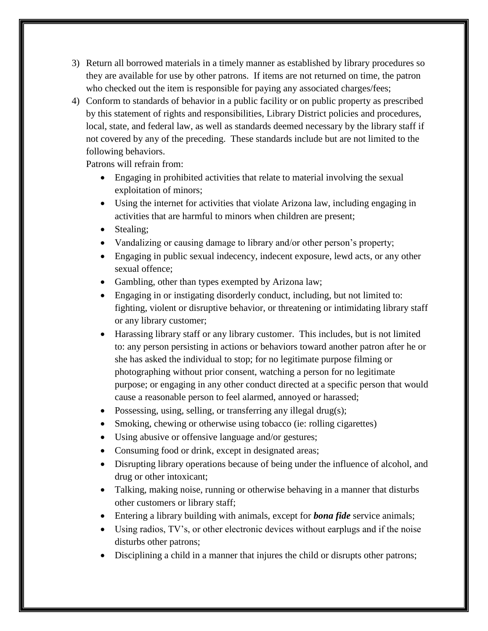- 3) Return all borrowed materials in a timely manner as established by library procedures so they are available for use by other patrons. If items are not returned on time, the patron who checked out the item is responsible for paying any associated charges/fees;
- 4) Conform to standards of behavior in a public facility or on public property as prescribed by this statement of rights and responsibilities, Library District policies and procedures, local, state, and federal law, as well as standards deemed necessary by the library staff if not covered by any of the preceding. These standards include but are not limited to the following behaviors.

Patrons will refrain from:

- Engaging in prohibited activities that relate to material involving the sexual exploitation of minors;
- Using the internet for activities that violate Arizona law, including engaging in activities that are harmful to minors when children are present;
- Stealing:
- Vandalizing or causing damage to library and/or other person's property;
- Engaging in public sexual indecency, indecent exposure, lewd acts, or any other sexual offence;
- Gambling, other than types exempted by Arizona law;
- Engaging in or instigating disorderly conduct, including, but not limited to: fighting, violent or disruptive behavior, or threatening or intimidating library staff or any library customer;
- Harassing library staff or any library customer. This includes, but is not limited to: any person persisting in actions or behaviors toward another patron after he or she has asked the individual to stop; for no legitimate purpose filming or photographing without prior consent, watching a person for no legitimate purpose; or engaging in any other conduct directed at a specific person that would cause a reasonable person to feel alarmed, annoyed or harassed;
- Possessing, using, selling, or transferring any illegal drug(s);
- Smoking, chewing or otherwise using tobacco (ie: rolling cigarettes)
- Using abusive or offensive language and/or gestures;
- Consuming food or drink, except in designated areas;
- Disrupting library operations because of being under the influence of alcohol, and drug or other intoxicant;
- Talking, making noise, running or otherwise behaving in a manner that disturbs other customers or library staff;
- Entering a library building with animals, except for *bona fide* service animals;
- Using radios, TV's, or other electronic devices without earplugs and if the noise disturbs other patrons;
- Disciplining a child in a manner that injures the child or disrupts other patrons;